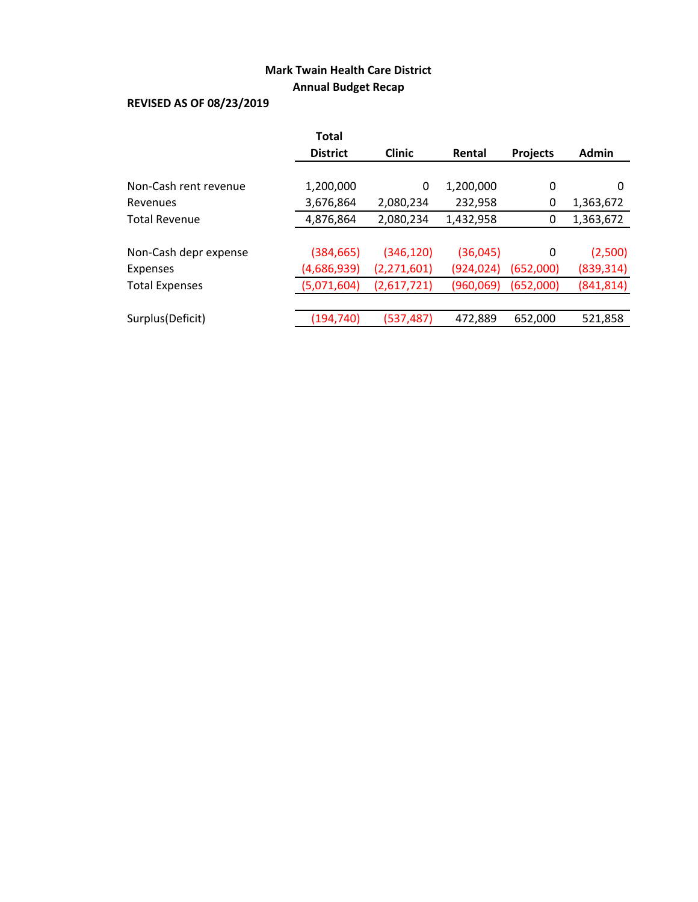# **Mark Twain Health Care District Annual Budget Recap**

# **REVISED AS OF 08/23/2019**

|                       | <b>Total</b>    |               |            |                 |              |
|-----------------------|-----------------|---------------|------------|-----------------|--------------|
|                       | <b>District</b> | <b>Clinic</b> | Rental     | <b>Projects</b> | <b>Admin</b> |
|                       |                 |               |            |                 |              |
| Non-Cash rent revenue | 1,200,000       | 0             | 1,200,000  | 0               | 0            |
| Revenues              | 3,676,864       | 2,080,234     | 232,958    | 0               | 1,363,672    |
| <b>Total Revenue</b>  | 4,876,864       | 2,080,234     | 1,432,958  | 0               | 1,363,672    |
|                       |                 |               |            |                 |              |
| Non-Cash depr expense | (384, 665)      | (346, 120)    | (36,045)   | 0               | (2,500)      |
| Expenses              | (4,686,939)     | (2, 271, 601) | (924, 024) | (652,000)       | (839, 314)   |
| <b>Total Expenses</b> | (5,071,604)     | (2,617,721)   | (960,069)  | (652,000)       | (841, 814)   |
|                       |                 |               |            |                 |              |
| Surplus(Deficit)      | (194,740)       | (537,487)     | 472,889    | 652,000         | 521,858      |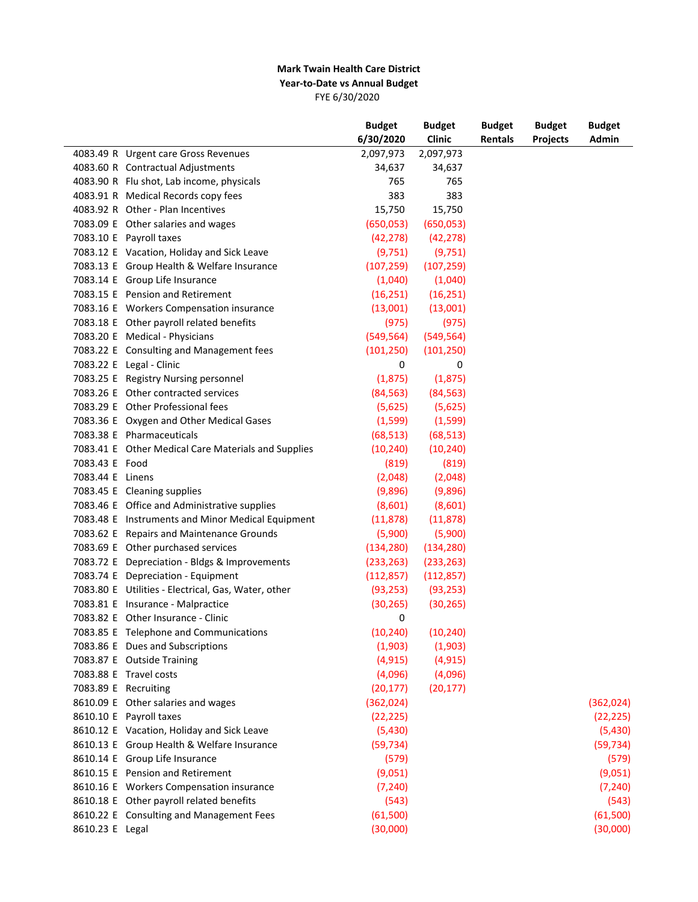#### **Mark Twain Health Care District Year-to-Date vs Annual Budget** FYE 6/30/2020

|                      |                                                     | <b>Budget</b> | <b>Budget</b> | <b>Budget</b> | <b>Budget</b>   | <b>Budget</b> |
|----------------------|-----------------------------------------------------|---------------|---------------|---------------|-----------------|---------------|
|                      |                                                     | 6/30/2020     | Clinic        | Rentals       | <b>Projects</b> | Admin         |
|                      | 4083.49 R Urgent care Gross Revenues                | 2,097,973     | 2,097,973     |               |                 |               |
|                      | 4083.60 R Contractual Adjustments                   | 34,637        | 34,637        |               |                 |               |
|                      | 4083.90 R Flu shot, Lab income, physicals           | 765           | 765           |               |                 |               |
|                      | 4083.91 R Medical Records copy fees                 | 383           | 383           |               |                 |               |
|                      | 4083.92 R Other - Plan Incentives                   | 15,750        | 15,750        |               |                 |               |
|                      | 7083.09 E Other salaries and wages                  | (650, 053)    | (650, 053)    |               |                 |               |
|                      | 7083.10 E Payroll taxes                             | (42, 278)     | (42, 278)     |               |                 |               |
|                      | 7083.12 E Vacation, Holiday and Sick Leave          | (9,751)       | (9, 751)      |               |                 |               |
|                      | 7083.13 E Group Health & Welfare Insurance          | (107, 259)    | (107, 259)    |               |                 |               |
|                      | 7083.14 E Group Life Insurance                      | (1,040)       | (1,040)       |               |                 |               |
|                      | 7083.15 E Pension and Retirement                    | (16, 251)     | (16, 251)     |               |                 |               |
|                      | 7083.16 E Workers Compensation insurance            | (13,001)      | (13,001)      |               |                 |               |
|                      | 7083.18 E Other payroll related benefits            | (975)         | (975)         |               |                 |               |
|                      | 7083.20 E Medical - Physicians                      | (549, 564)    | (549, 564)    |               |                 |               |
|                      | 7083.22 E Consulting and Management fees            | (101, 250)    | (101, 250)    |               |                 |               |
|                      | 7083.22 E Legal - Clinic                            | 0             | 0             |               |                 |               |
|                      | 7083.25 E Registry Nursing personnel                | (1,875)       | (1,875)       |               |                 |               |
|                      | 7083.26 E Other contracted services                 | (84, 563)     | (84, 563)     |               |                 |               |
|                      | 7083.29 E Other Professional fees                   | (5,625)       | (5,625)       |               |                 |               |
|                      | 7083.36 E Oxygen and Other Medical Gases            | (1,599)       | (1, 599)      |               |                 |               |
|                      | 7083.38 E Pharmaceuticals                           | (68, 513)     | (68, 513)     |               |                 |               |
|                      | 7083.41 E Other Medical Care Materials and Supplies | (10, 240)     | (10, 240)     |               |                 |               |
| 7083.43 E Food       |                                                     |               |               |               |                 |               |
| 7083.44 E Linens     |                                                     | (819)         | (819)         |               |                 |               |
|                      |                                                     | (2,048)       | (2,048)       |               |                 |               |
|                      | 7083.45 E Cleaning supplies                         | (9,896)       | (9,896)       |               |                 |               |
|                      | 7083.46 E Office and Administrative supplies        | (8,601)       | (8,601)       |               |                 |               |
|                      | 7083.48 E Instruments and Minor Medical Equipment   | (11, 878)     | (11, 878)     |               |                 |               |
|                      | 7083.62 E Repairs and Maintenance Grounds           | (5,900)       | (5,900)       |               |                 |               |
|                      | 7083.69 E Other purchased services                  | (134, 280)    | (134, 280)    |               |                 |               |
|                      | 7083.72 E Depreciation - Bldgs & Improvements       | (233, 263)    | (233, 263)    |               |                 |               |
|                      | 7083.74 E Depreciation - Equipment                  | (112, 857)    | (112, 857)    |               |                 |               |
|                      | 7083.80 E Utilities - Electrical, Gas, Water, other | (93, 253)     | (93, 253)     |               |                 |               |
|                      | 7083.81 E Insurance - Malpractice                   | (30, 265)     | (30, 265)     |               |                 |               |
|                      | 7083.82 E Other Insurance - Clinic                  | 0             |               |               |                 |               |
|                      | 7083.85 E Telephone and Communications              | (10, 240)     | (10, 240)     |               |                 |               |
|                      | 7083.86 E Dues and Subscriptions                    | (1,903)       | (1,903)       |               |                 |               |
|                      | 7083.87 E Outside Training                          | (4, 915)      | (4, 915)      |               |                 |               |
|                      | 7083.88 E Travel costs                              | (4,096)       | (4,096)       |               |                 |               |
| 7083.89 E Recruiting |                                                     | (20, 177)     | (20, 177)     |               |                 |               |
|                      | 8610.09 E Other salaries and wages                  | (362,024)     |               |               |                 | (362,024)     |
|                      | 8610.10 E Payroll taxes                             | (22, 225)     |               |               |                 | (22, 225)     |
|                      | 8610.12 E Vacation, Holiday and Sick Leave          | (5,430)       |               |               |                 | (5,430)       |
|                      | 8610.13 E Group Health & Welfare Insurance          | (59, 734)     |               |               |                 | (59, 734)     |
|                      | 8610.14 E Group Life Insurance                      | (579)         |               |               |                 | (579)         |
|                      | 8610.15 E Pension and Retirement                    | (9,051)       |               |               |                 | (9,051)       |
|                      | 8610.16 E Workers Compensation insurance            | (7, 240)      |               |               |                 | (7, 240)      |
|                      | 8610.18 E Other payroll related benefits            | (543)         |               |               |                 | (543)         |
|                      | 8610.22 E Consulting and Management Fees            | (61,500)      |               |               |                 | (61,500)      |
| 8610.23 E Legal      |                                                     | (30,000)      |               |               |                 | (30,000)      |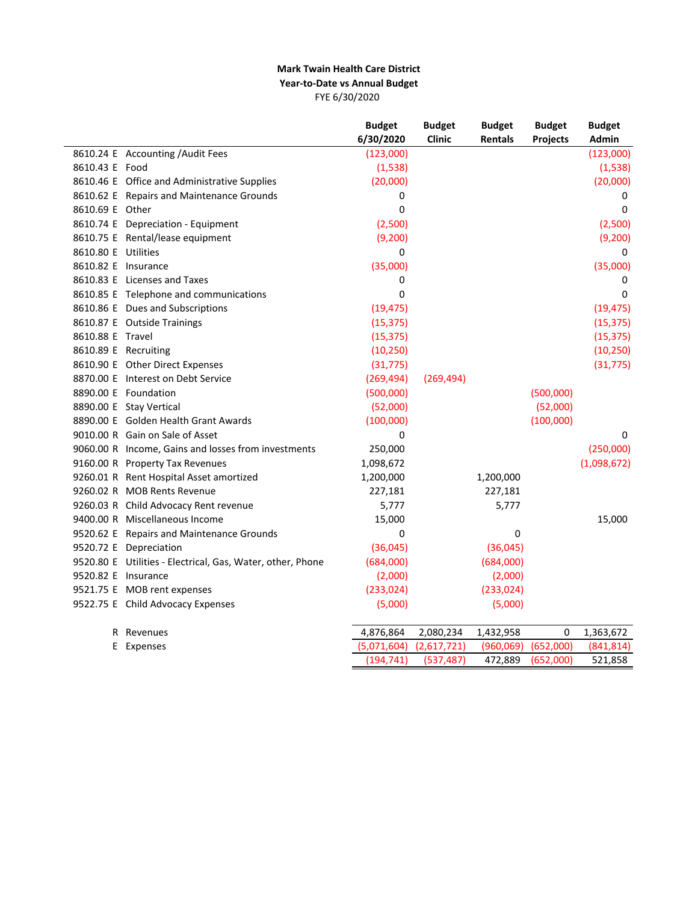#### **Mark Twain Health Care District Year-to-Date vs Annual Budget** FYE 6/30/2020

|                     |                                                            | <b>Budget</b> | <b>Budget</b> | <b>Budget</b> | <b>Budget</b>   | <b>Budget</b> |
|---------------------|------------------------------------------------------------|---------------|---------------|---------------|-----------------|---------------|
|                     |                                                            | 6/30/2020     | Clinic        | Rentals       | <b>Projects</b> | Admin         |
|                     | 8610.24 E Accounting / Audit Fees                          | (123,000)     |               |               |                 | (123,000)     |
| 8610.43 E Food      |                                                            | (1,538)       |               |               |                 | (1,538)       |
|                     | 8610.46 E Office and Administrative Supplies               | (20,000)      |               |               |                 | (20,000)      |
|                     | 8610.62 E Repairs and Maintenance Grounds                  | 0             |               |               |                 | 0             |
| 8610.69 E Other     |                                                            | 0             |               |               |                 | 0             |
|                     | 8610.74 E Depreciation - Equipment                         | (2,500)       |               |               |                 | (2,500)       |
|                     | 8610.75 E Rental/lease equipment                           | (9,200)       |               |               |                 | (9,200)       |
| 8610.80 E Utilities |                                                            | 0             |               |               |                 | 0             |
|                     | 8610.82 E Insurance                                        | (35,000)      |               |               |                 | (35,000)      |
|                     | 8610.83 E Licenses and Taxes                               | 0             |               |               |                 | 0             |
|                     | 8610.85 E Telephone and communications                     | 0             |               |               |                 | $\Omega$      |
|                     | 8610.86 E Dues and Subscriptions                           | (19, 475)     |               |               |                 | (19, 475)     |
|                     | 8610.87 E Outside Trainings                                | (15, 375)     |               |               |                 | (15, 375)     |
| 8610.88 E Travel    |                                                            | (15, 375)     |               |               |                 | (15, 375)     |
|                     | 8610.89 E Recruiting                                       | (10, 250)     |               |               |                 | (10, 250)     |
|                     | 8610.90 E Other Direct Expenses                            | (31, 775)     |               |               |                 | (31, 775)     |
|                     | 8870.00 E Interest on Debt Service                         | (269, 494)    | (269, 494)    |               |                 |               |
|                     | 8890.00 E Foundation                                       | (500,000)     |               |               | (500,000)       |               |
|                     | 8890.00 E Stay Vertical                                    | (52,000)      |               |               | (52,000)        |               |
|                     | 8890.00 E Golden Health Grant Awards                       | (100,000)     |               |               | (100,000)       |               |
|                     | 9010.00 R Gain on Sale of Asset                            | 0             |               |               |                 | 0             |
|                     | 9060.00 R Income, Gains and losses from investments        | 250,000       |               |               |                 | (250,000)     |
|                     | 9160.00 R Property Tax Revenues                            | 1,098,672     |               |               |                 | (1,098,672)   |
|                     | 9260.01 R Rent Hospital Asset amortized                    | 1,200,000     |               | 1,200,000     |                 |               |
|                     | 9260.02 R MOB Rents Revenue                                | 227,181       |               | 227,181       |                 |               |
|                     | 9260.03 R Child Advocacy Rent revenue                      | 5,777         |               | 5,777         |                 |               |
|                     | 9400.00 R Miscellaneous Income                             | 15,000        |               |               |                 | 15,000        |
|                     | 9520.62 E Repairs and Maintenance Grounds                  | 0             |               | $\mathbf 0$   |                 |               |
|                     | 9520.72 E Depreciation                                     | (36,045)      |               | (36,045)      |                 |               |
|                     | 9520.80 E Utilities - Electrical, Gas, Water, other, Phone | (684,000)     |               | (684,000)     |                 |               |
|                     | 9520.82 E Insurance                                        | (2,000)       |               | (2,000)       |                 |               |
|                     | 9521.75 E MOB rent expenses                                | (233, 024)    |               | (233, 024)    |                 |               |
|                     | 9522.75 E Child Advocacy Expenses                          | (5,000)       |               | (5,000)       |                 |               |
|                     | R Revenues                                                 | 4,876,864     | 2,080,234     | 1,432,958     | 0               | 1,363,672     |
|                     | E Expenses                                                 | (5,071,604)   | (2,617,721)   | (960,069)     | (652,000)       | (841, 814)    |
|                     |                                                            | (194, 741)    | (537, 487)    | 472,889       | (652,000)       | 521,858       |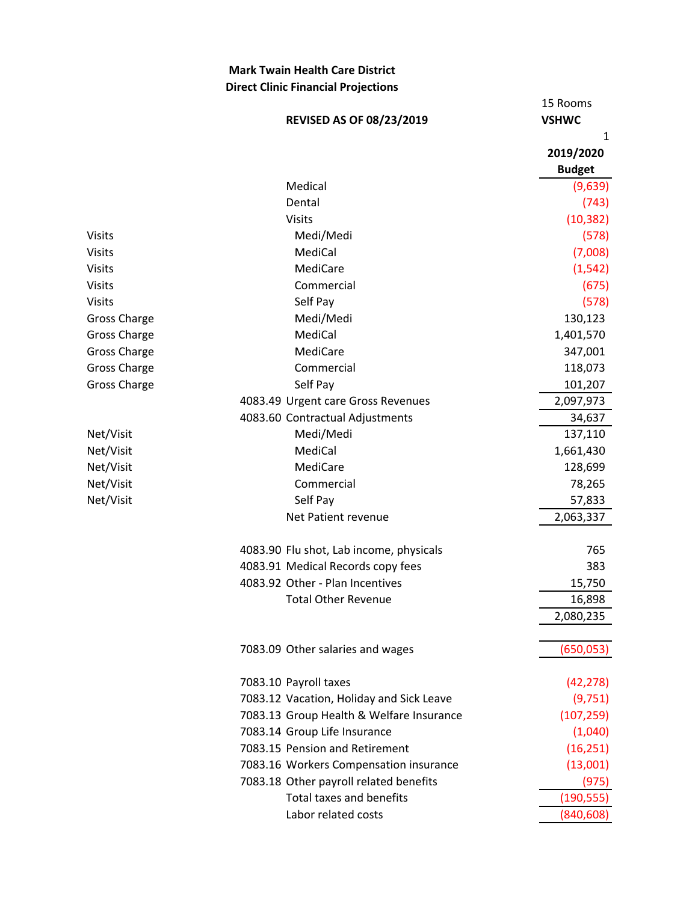## **Mark Twain Health Care District Direct Clinic Financial Projections**

|              | <b>REVISED AS OF 08/23/2019</b>          | 15 Rooms<br><b>VSHWC</b> |
|--------------|------------------------------------------|--------------------------|
|              |                                          | 1                        |
|              |                                          | 2019/2020                |
|              |                                          | <b>Budget</b>            |
|              | Medical                                  | (9,639)                  |
|              | Dental                                   | (743)                    |
|              | <b>Visits</b>                            | (10, 382)                |
| Visits       | Medi/Medi                                | (578)                    |
| Visits       | MediCal                                  | (7,008)                  |
| Visits       | MediCare                                 | (1, 542)                 |
| Visits       | Commercial                               | (675)                    |
| Visits       | Self Pay                                 | (578)                    |
| Gross Charge | Medi/Medi                                | 130,123                  |
| Gross Charge | MediCal                                  | 1,401,570                |
| Gross Charge | MediCare                                 | 347,001                  |
| Gross Charge | Commercial                               | 118,073                  |
| Gross Charge | Self Pay                                 | 101,207                  |
|              | 4083.49 Urgent care Gross Revenues       | 2,097,973                |
|              | 4083.60 Contractual Adjustments          | 34,637                   |
| Net/Visit    | Medi/Medi                                | 137,110                  |
| Net/Visit    | MediCal                                  | 1,661,430                |
| Net/Visit    | MediCare                                 | 128,699                  |
| Net/Visit    | Commercial                               | 78,265                   |
| Net/Visit    | Self Pay                                 | 57,833                   |
|              | Net Patient revenue                      | 2,063,337                |
|              |                                          |                          |
|              | 4083.90 Flu shot, Lab income, physicals  | 765                      |
|              | 4083.91 Medical Records copy fees        | 383                      |
|              | 4083.92 Other - Plan Incentives          | 15,750                   |
|              | <b>Total Other Revenue</b>               | 16,898                   |
|              |                                          | 2,080,235                |
|              |                                          |                          |
|              | 7083.09 Other salaries and wages         | (650, 053)               |
|              | 7083.10 Payroll taxes                    | (42, 278)                |
|              | 7083.12 Vacation, Holiday and Sick Leave | (9,751)                  |
|              | 7083.13 Group Health & Welfare Insurance | (107, 259)               |
|              | 7083.14 Group Life Insurance             | (1,040)                  |
|              | 7083.15 Pension and Retirement           | (16, 251)                |
|              | 7083.16 Workers Compensation insurance   | (13,001)                 |
|              | 7083.18 Other payroll related benefits   | (975)                    |
|              | <b>Total taxes and benefits</b>          | (190, 555)               |
|              | Labor related costs                      | (840,608)                |
|              |                                          |                          |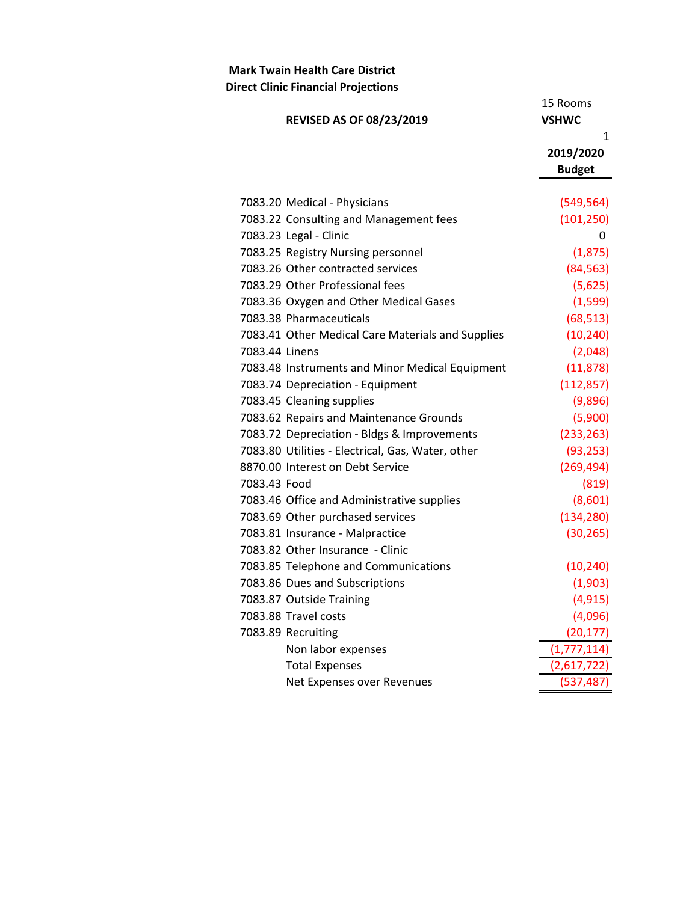#### **Mark Twain Health Care District Direct Clinic Financial Projections**

15 Rooms **REVISED AS OF 08/23/2019 VSHWC** 1 **2019/2020 Budget** 7083.20 Medical - Physicians (549,564) 7083.22 Consulting and Management fees (101,250) 7083.23 Legal - Clinic 0 7083.25 Registry Nursing personnel (1,875) 7083.26 Other contracted services (84,563) 7083.29 Other Professional fees (5,625) 7083.36 Oxygen and Other Medical Gases (1,599) 7083.38 Pharmaceuticals (68,513) 7083.41 Other Medical Care Materials and Supplies (10,240) 7083.44 Linens (2,048) 7083.48 Instruments and Minor Medical Equipment (11,878) 7083.74 Depreciation - Equipment (112,857) 7083.45 Cleaning supplies (9,896) 7083.62 Repairs and Maintenance Grounds (5,900) 7083.72 Depreciation - Bldgs & Improvements (233,263) 7083.80 Utilities - Electrical, Gas, Water, other (93,253) 8870.00 Interest on Debt Service (269,494) 7083.43 Food (819) 7083.46 Office and Administrative supplies (8,601) 7083.69 Other purchased services (134,280) 7083.81 Insurance - Malpractice (30,265) 7083.82 Other Insurance - Clinic 7083.85 Telephone and Communications (10,240) 7083.86 Dues and Subscriptions (1,903) 7083.87 Outside Training (4,915) 7083.88 Travel costs (4,096) 7083.89 Recruiting (20,177) Non labor expenses (1,777,114) Total Expenses (2,617,722) Net Expenses over Revenues (537,487)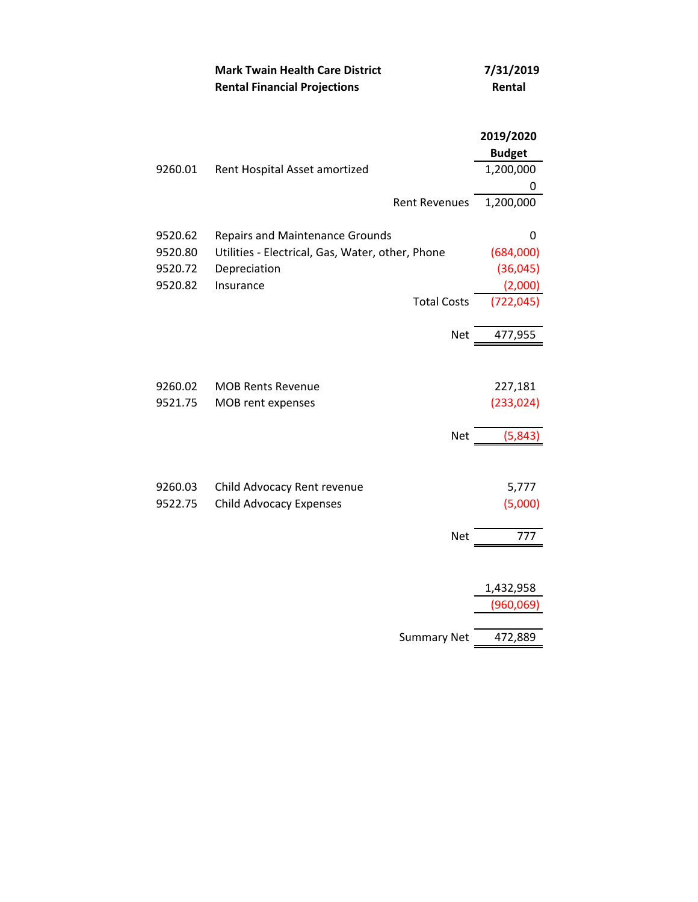|         | <b>Mark Twain Health Care District</b><br><b>Rental Financial Projections</b> | 7/31/2019<br>Rental        |
|---------|-------------------------------------------------------------------------------|----------------------------|
|         |                                                                               | 2019/2020<br><b>Budget</b> |
| 9260.01 | Rent Hospital Asset amortized                                                 | 1,200,000                  |
|         |                                                                               | 0                          |
|         | <b>Rent Revenues</b>                                                          | 1,200,000                  |
| 9520.62 | <b>Repairs and Maintenance Grounds</b>                                        | 0                          |
| 9520.80 | Utilities - Electrical, Gas, Water, other, Phone                              | (684,000)                  |
| 9520.72 | Depreciation                                                                  | (36,045)                   |
| 9520.82 | Insurance                                                                     | (2,000)                    |
|         | <b>Total Costs</b>                                                            | (722,045                   |
|         | <b>Net</b>                                                                    | 477,955                    |
|         |                                                                               |                            |
| 9260.02 | <b>MOB Rents Revenue</b>                                                      | 227,181                    |
| 9521.75 | MOB rent expenses                                                             | (233, 024)                 |
|         | <b>Net</b>                                                                    | (5, 843)                   |
| 9260.03 | Child Advocacy Rent revenue                                                   | 5,777                      |
| 9522.75 | <b>Child Advocacy Expenses</b>                                                | (5,000)                    |
|         |                                                                               |                            |
|         | Net                                                                           | 777                        |
|         |                                                                               |                            |
|         |                                                                               | 1,432,958                  |
|         |                                                                               | (960,069                   |
|         | <b>Summary Net</b>                                                            | 472,889                    |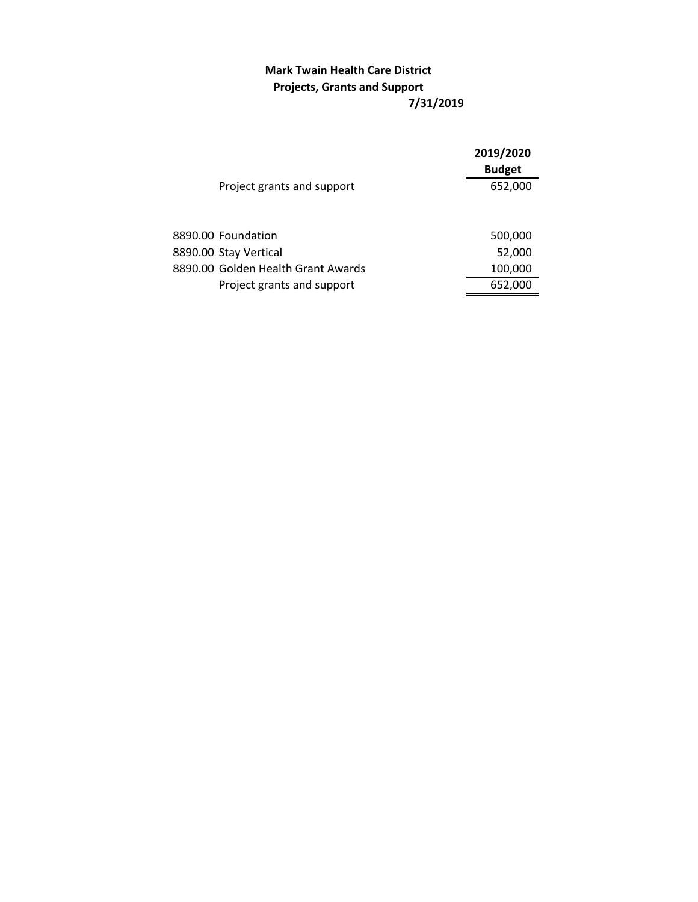## **7/31/2019 Mark Twain Health Care District Projects, Grants and Support**

|                                    | 2019/2020<br><b>Budget</b> |  |
|------------------------------------|----------------------------|--|
| Project grants and support         | 652,000                    |  |
| 8890.00 Foundation                 | 500,000                    |  |
| 8890.00 Stay Vertical              | 52,000                     |  |
| 8890.00 Golden Health Grant Awards | 100,000                    |  |
| Project grants and support         | 652,000                    |  |